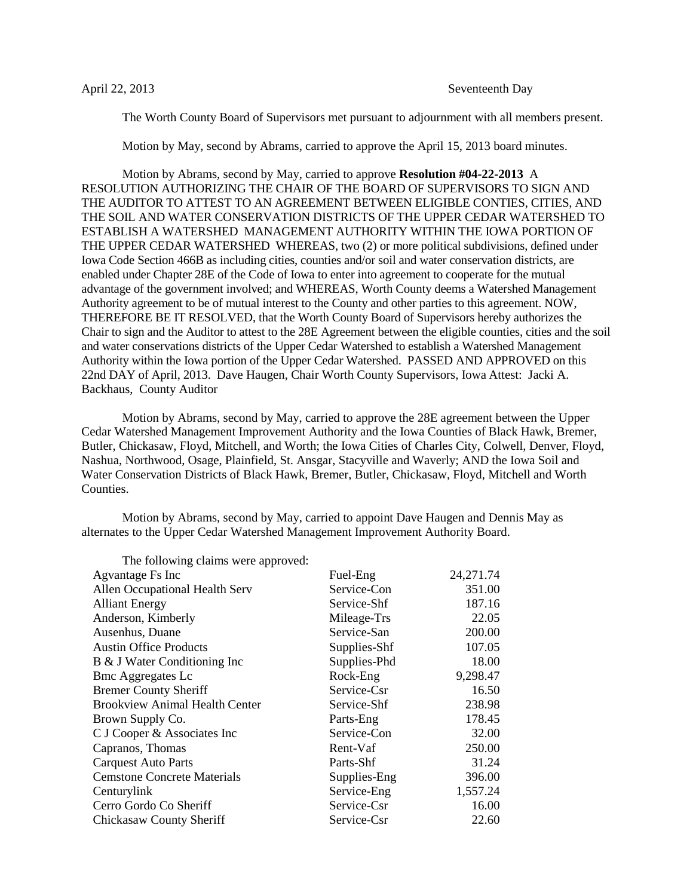The Worth County Board of Supervisors met pursuant to adjournment with all members present.

Motion by May, second by Abrams, carried to approve the April 15, 2013 board minutes.

Motion by Abrams, second by May, carried to approve **Resolution #04-22-2013** A RESOLUTION AUTHORIZING THE CHAIR OF THE BOARD OF SUPERVISORS TO SIGN AND THE AUDITOR TO ATTEST TO AN AGREEMENT BETWEEN ELIGIBLE CONTIES, CITIES, AND THE SOIL AND WATER CONSERVATION DISTRICTS OF THE UPPER CEDAR WATERSHED TO ESTABLISH A WATERSHED MANAGEMENT AUTHORITY WITHIN THE IOWA PORTION OF THE UPPER CEDAR WATERSHED WHEREAS, two (2) or more political subdivisions, defined under Iowa Code Section 466B as including cities, counties and/or soil and water conservation districts, are enabled under Chapter 28E of the Code of Iowa to enter into agreement to cooperate for the mutual advantage of the government involved; and WHEREAS, Worth County deems a Watershed Management Authority agreement to be of mutual interest to the County and other parties to this agreement. NOW, THEREFORE BE IT RESOLVED, that the Worth County Board of Supervisors hereby authorizes the Chair to sign and the Auditor to attest to the 28E Agreement between the eligible counties, cities and the soil and water conservations districts of the Upper Cedar Watershed to establish a Watershed Management Authority within the Iowa portion of the Upper Cedar Watershed. PASSED AND APPROVED on this 22nd DAY of April, 2013. Dave Haugen, Chair Worth County Supervisors, Iowa Attest: Jacki A. Backhaus, County Auditor

Motion by Abrams, second by May, carried to approve the 28E agreement between the Upper Cedar Watershed Management Improvement Authority and the Iowa Counties of Black Hawk, Bremer, Butler, Chickasaw, Floyd, Mitchell, and Worth; the Iowa Cities of Charles City, Colwell, Denver, Floyd, Nashua, Northwood, Osage, Plainfield, St. Ansgar, Stacyville and Waverly; AND the Iowa Soil and Water Conservation Districts of Black Hawk, Bremer, Butler, Chickasaw, Floyd, Mitchell and Worth Counties.

Motion by Abrams, second by May, carried to appoint Dave Haugen and Dennis May as alternates to the Upper Cedar Watershed Management Improvement Authority Board.

| The following claims were approved:   |              |            |
|---------------------------------------|--------------|------------|
| Agvantage Fs Inc                      | Fuel-Eng     | 24, 271.74 |
| Allen Occupational Health Serv        | Service-Con  | 351.00     |
| <b>Alliant Energy</b>                 | Service-Shf  | 187.16     |
| Anderson, Kimberly                    | Mileage-Trs  | 22.05      |
| Ausenhus, Duane                       | Service-San  | 200.00     |
| <b>Austin Office Products</b>         | Supplies-Shf | 107.05     |
| B & J Water Conditioning Inc          | Supplies-Phd | 18.00      |
| <b>Bmc Aggregates Lc</b>              | Rock-Eng     | 9,298.47   |
| <b>Bremer County Sheriff</b>          | Service-Csr  | 16.50      |
| <b>Brookview Animal Health Center</b> | Service-Shf  | 238.98     |
| Brown Supply Co.                      | Parts-Eng    | 178.45     |
| C J Cooper & Associates Inc           | Service-Con  | 32.00      |
| Capranos, Thomas                      | Rent-Vaf     | 250.00     |
| <b>Carquest Auto Parts</b>            | Parts-Shf    | 31.24      |
| <b>Cemstone Concrete Materials</b>    | Supplies-Eng | 396.00     |
| Centurylink                           | Service-Eng  | 1,557.24   |
| Cerro Gordo Co Sheriff                | Service-Csr  | 16.00      |
| Chickasaw County Sheriff              | Service-Csr  | 22.60      |

 $T_{\rm H}$  for  $f$  and  $f$  approximate approximate  $f$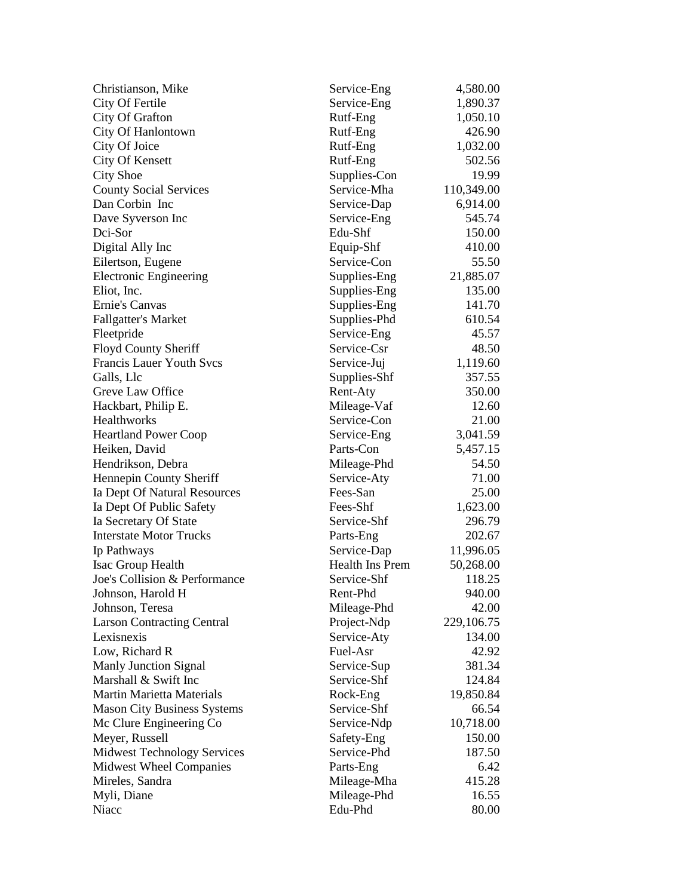| Christianson, Mike                 | Service-Eng     | 4,580.00   |
|------------------------------------|-----------------|------------|
| City Of Fertile                    | Service-Eng     | 1,890.37   |
| City Of Grafton                    | Rutf-Eng        | 1,050.10   |
| City Of Hanlontown                 | Rutf-Eng        | 426.90     |
| City Of Joice                      | Rutf-Eng        | 1,032.00   |
| City Of Kensett                    | Rutf-Eng        | 502.56     |
| <b>City Shoe</b>                   | Supplies-Con    | 19.99      |
| <b>County Social Services</b>      | Service-Mha     | 110,349.00 |
| Dan Corbin Inc                     | Service-Dap     | 6,914.00   |
| Dave Syverson Inc                  | Service-Eng     | 545.74     |
| Dci-Sor                            | Edu-Shf         | 150.00     |
| Digital Ally Inc                   | Equip-Shf       | 410.00     |
| Eilertson, Eugene                  | Service-Con     | 55.50      |
| <b>Electronic Engineering</b>      | Supplies-Eng    | 21,885.07  |
| Eliot, Inc.                        | Supplies-Eng    | 135.00     |
| Ernie's Canvas                     | Supplies-Eng    | 141.70     |
| <b>Fallgatter's Market</b>         | Supplies-Phd    | 610.54     |
| Fleetpride                         | Service-Eng     | 45.57      |
| <b>Floyd County Sheriff</b>        | Service-Csr     | 48.50      |
| <b>Francis Lauer Youth Svcs</b>    | Service-Juj     | 1,119.60   |
| Galls, Llc                         | Supplies-Shf    | 357.55     |
| Greve Law Office                   | Rent-Aty        | 350.00     |
| Hackbart, Philip E.                | Mileage-Vaf     | 12.60      |
| Healthworks                        | Service-Con     | 21.00      |
| <b>Heartland Power Coop</b>        | Service-Eng     | 3,041.59   |
| Heiken, David                      | Parts-Con       | 5,457.15   |
| Hendrikson, Debra                  | Mileage-Phd     | 54.50      |
| Hennepin County Sheriff            | Service-Aty     | 71.00      |
| Ia Dept Of Natural Resources       | Fees-San        | 25.00      |
| Ia Dept Of Public Safety           | Fees-Shf        | 1,623.00   |
| Ia Secretary Of State              | Service-Shf     | 296.79     |
| <b>Interstate Motor Trucks</b>     | Parts-Eng       | 202.67     |
| Ip Pathways                        | Service-Dap     | 11,996.05  |
| <b>Isac Group Health</b>           | Health Ins Prem | 50,268.00  |
| Joe's Collision & Performance      | Service-Shf     | 118.25     |
| Johnson, Harold H                  | Rent-Phd        | 940.00     |
| Johnson, Teresa                    | Mileage-Phd     | 42.00      |
| <b>Larson Contracting Central</b>  | Project-Ndp     | 229,106.75 |
| Lexisnexis                         | Service-Aty     | 134.00     |
| Low, Richard R                     | Fuel-Asr        | 42.92      |
| <b>Manly Junction Signal</b>       | Service-Sup     | 381.34     |
| Marshall & Swift Inc               | Service-Shf     | 124.84     |
| <b>Martin Marietta Materials</b>   | Rock-Eng        | 19,850.84  |
| <b>Mason City Business Systems</b> | Service-Shf     | 66.54      |
| Mc Clure Engineering Co            | Service-Ndp     | 10,718.00  |
| Meyer, Russell                     | Safety-Eng      | 150.00     |
| <b>Midwest Technology Services</b> | Service-Phd     | 187.50     |
| <b>Midwest Wheel Companies</b>     | Parts-Eng       | 6.42       |
| Mireles, Sandra                    | Mileage-Mha     | 415.28     |
| Myli, Diane                        | Mileage-Phd     | 16.55      |
| Niacc                              | Edu-Phd         | 80.00      |
|                                    |                 |            |